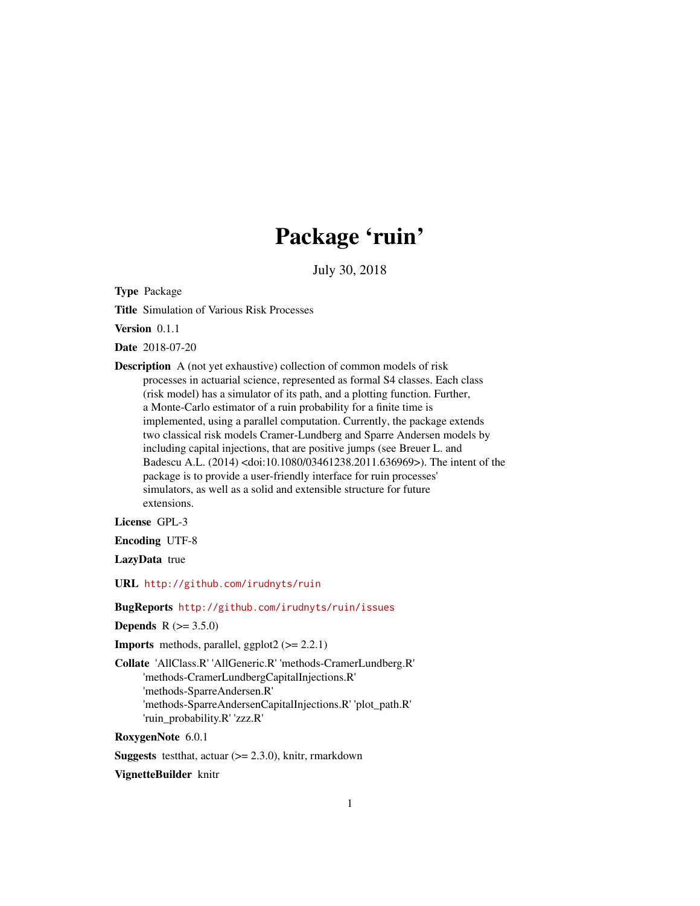## Package 'ruin'

July 30, 2018

<span id="page-0-0"></span>Type Package

Title Simulation of Various Risk Processes

Version 0.1.1

Date 2018-07-20

Description A (not yet exhaustive) collection of common models of risk processes in actuarial science, represented as formal S4 classes. Each class (risk model) has a simulator of its path, and a plotting function. Further, a Monte-Carlo estimator of a ruin probability for a finite time is implemented, using a parallel computation. Currently, the package extends two classical risk models Cramer-Lundberg and Sparre Andersen models by including capital injections, that are positive jumps (see Breuer L. and Badescu A.L. (2014) <doi:10.1080/03461238.2011.636969>). The intent of the package is to provide a user-friendly interface for ruin processes' simulators, as well as a solid and extensible structure for future extensions.

License GPL-3

Encoding UTF-8

LazyData true

URL <http://github.com/irudnyts/ruin>

BugReports <http://github.com/irudnyts/ruin/issues>

**Depends** R  $(>= 3.5.0)$ 

**Imports** methods, parallel, ggplot $2$  ( $>= 2.2.1$ )

Collate 'AllClass.R' 'AllGeneric.R' 'methods-CramerLundberg.R' 'methods-CramerLundbergCapitalInjections.R' 'methods-SparreAndersen.R' 'methods-SparreAndersenCapitalInjections.R' 'plot\_path.R' 'ruin\_probability.R' 'zzz.R'

RoxygenNote 6.0.1

**Suggests** testthat, actuar  $(>= 2.3.0)$ , knitr, rmarkdown

VignetteBuilder knitr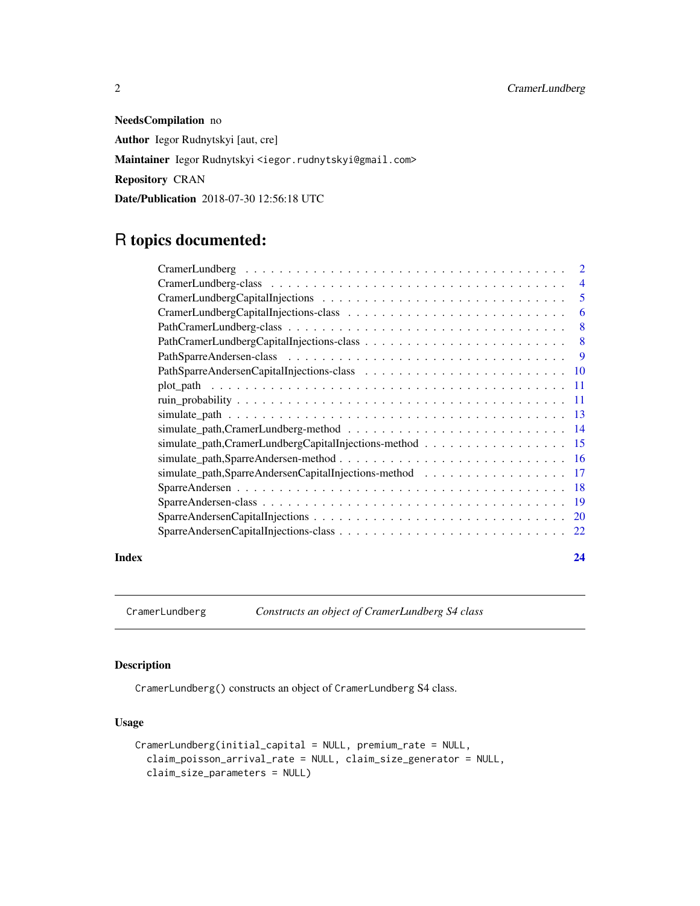NeedsCompilation no Author Iegor Rudnytskyi [aut, cre] Maintainer Iegor Rudnytskyi <iegor.rudnytskyi@gmail.com> Repository CRAN Date/Publication 2018-07-30 12:56:18 UTC

### R topics documented:

|       |                                                                                                                   | 5  |
|-------|-------------------------------------------------------------------------------------------------------------------|----|
|       |                                                                                                                   | 6  |
|       |                                                                                                                   | 8  |
|       |                                                                                                                   |    |
|       |                                                                                                                   |    |
|       |                                                                                                                   |    |
|       |                                                                                                                   |    |
|       |                                                                                                                   |    |
|       |                                                                                                                   |    |
|       |                                                                                                                   |    |
|       | simulate_path,CramerLundbergCapitalInjections-method 15                                                           |    |
|       |                                                                                                                   |    |
|       | simulate_path,SparreAndersenCapitalInjections-method 17                                                           |    |
|       |                                                                                                                   |    |
|       |                                                                                                                   |    |
|       | $SparreAndersenCapitalInjections \ldots \ldots \ldots \ldots \ldots \ldots \ldots \ldots \ldots \ldots \ldots 20$ |    |
|       |                                                                                                                   |    |
| Index |                                                                                                                   | 24 |

<span id="page-1-1"></span>CramerLundberg *Constructs an object of CramerLundberg S4 class*

#### Description

CramerLundberg() constructs an object of CramerLundberg S4 class.

#### Usage

```
CramerLundberg(initial_capital = NULL, premium_rate = NULL,
 claim_poisson_arrival_rate = NULL, claim_size_generator = NULL,
  claim_size_parameters = NULL)
```
<span id="page-1-0"></span>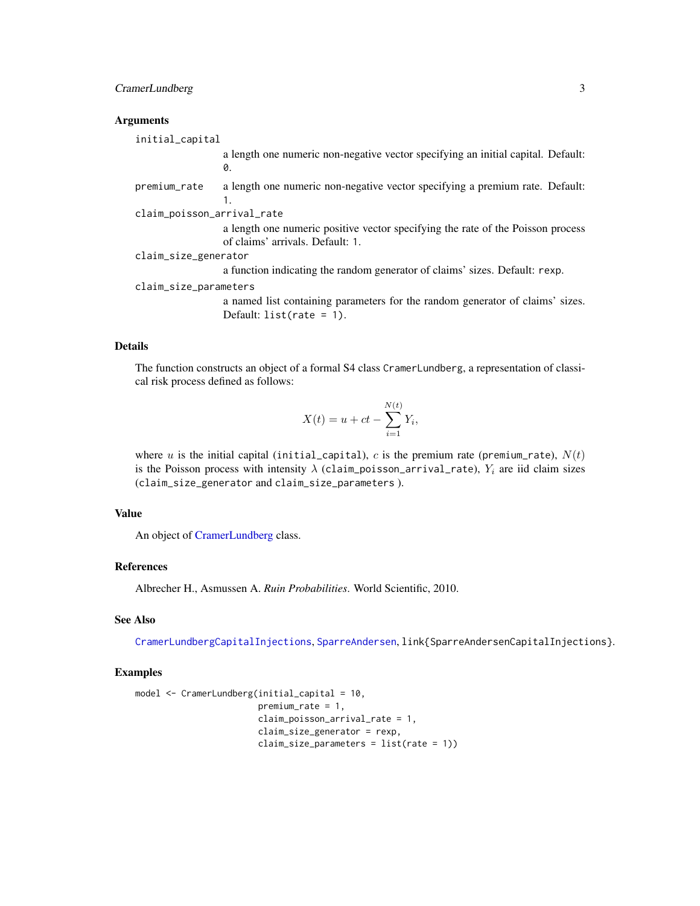#### <span id="page-2-0"></span>CramerLundberg 3

#### **Arguments**

initial\_capital a length one numeric non-negative vector specifying an initial capital. Default: 0. premium\_rate a length one numeric non-negative vector specifying a premium rate. Default: 1. claim\_poisson\_arrival\_rate a length one numeric positive vector specifying the rate of the Poisson process of claims' arrivals. Default: 1. claim\_size\_generator a function indicating the random generator of claims' sizes. Default: rexp.

claim\_size\_parameters

a named list containing parameters for the random generator of claims' sizes. Default: list(rate = 1).

#### Details

The function constructs an object of a formal S4 class CramerLundberg, a representation of classical risk process defined as follows:

$$
X(t) = u + ct - \sum_{i=1}^{N(t)} Y_i,
$$

where u is the initial capital (initial\_capital), c is the premium rate (premium\_rate),  $N(t)$ is the Poisson process with intensity  $\lambda$  (claim\_poisson\_arrival\_rate),  $Y_i$  are iid claim sizes (claim\_size\_generator and claim\_size\_parameters ).

#### Value

An object of [CramerLundberg](#page-3-1) class.

#### References

Albrecher H., Asmussen A. *Ruin Probabilities*. World Scientific, 2010.

#### See Also

[CramerLundbergCapitalInjections](#page-4-1), [SparreAndersen](#page-17-1), link{SparreAndersenCapitalInjections}.

#### Examples

```
model <- CramerLundberg(initial_capital = 10,
                        premium_rate = 1,
                        claim_poisson_arrival_rate = 1,
                        claim_size_generator = rexp,
                        claim_size_parameters = list(rate = 1))
```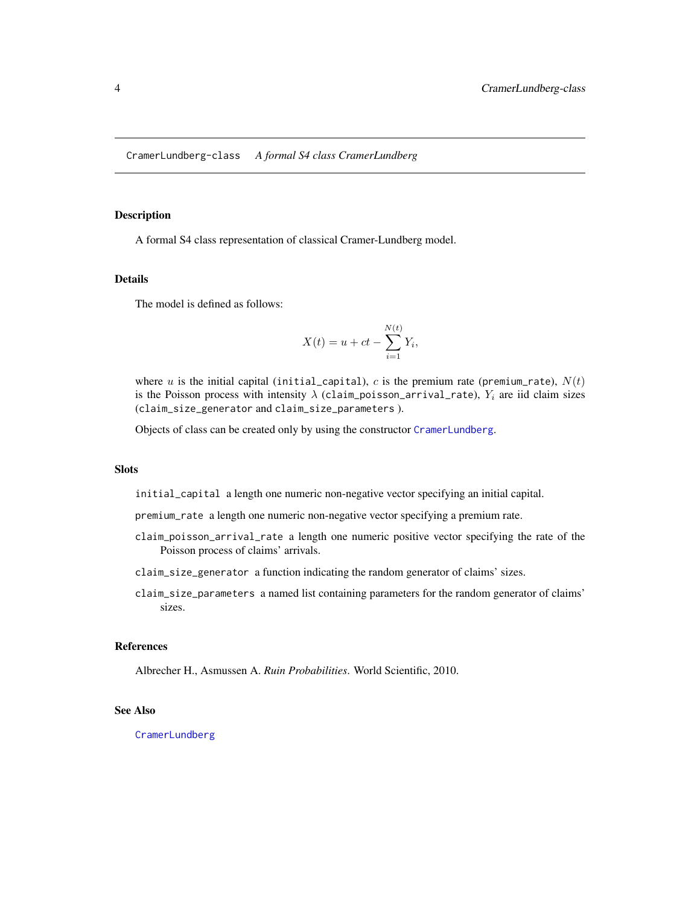#### <span id="page-3-1"></span><span id="page-3-0"></span>Description

A formal S4 class representation of classical Cramer-Lundberg model.

#### Details

The model is defined as follows:

$$
X(t) = u + ct - \sum_{i=1}^{N(t)} Y_i,
$$

where u is the initial capital (initial\_capital), c is the premium rate (premium\_rate),  $N(t)$ is the Poisson process with intensity  $\lambda$  (claim\_poisson\_arrival\_rate),  $Y_i$  are iid claim sizes (claim\_size\_generator and claim\_size\_parameters ).

Objects of class can be created only by using the constructor [CramerLundberg](#page-1-1).

#### **Slots**

initial\_capital a length one numeric non-negative vector specifying an initial capital.

premium\_rate a length one numeric non-negative vector specifying a premium rate.

- claim\_poisson\_arrival\_rate a length one numeric positive vector specifying the rate of the Poisson process of claims' arrivals.
- claim\_size\_generator a function indicating the random generator of claims' sizes.
- claim\_size\_parameters a named list containing parameters for the random generator of claims' sizes.

#### References

Albrecher H., Asmussen A. *Ruin Probabilities*. World Scientific, 2010.

#### See Also

[CramerLundberg](#page-1-1)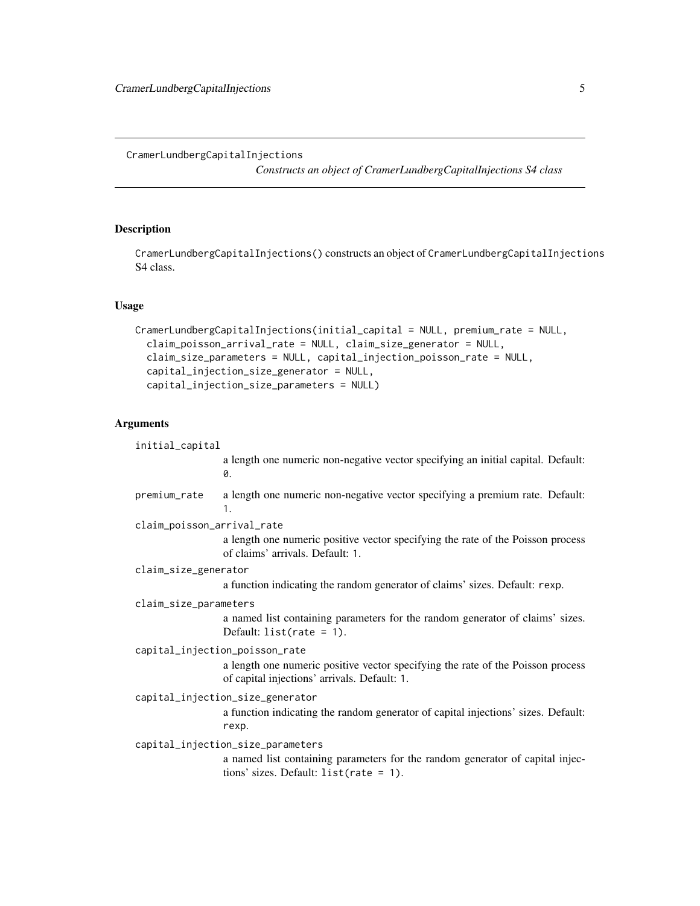#### <span id="page-4-1"></span><span id="page-4-0"></span>CramerLundbergCapitalInjections

*Constructs an object of CramerLundbergCapitalInjections S4 class*

#### **Description**

CramerLundbergCapitalInjections() constructs an object of CramerLundbergCapitalInjections S4 class.

#### Usage

```
CramerLundbergCapitalInjections(initial_capital = NULL, premium_rate = NULL,
 claim_poisson_arrival_rate = NULL, claim_size_generator = NULL,
  claim_size_parameters = NULL, capital_injection_poisson_rate = NULL,
  capital_injection_size_generator = NULL,
 capital_injection_size_parameters = NULL)
```
#### Arguments

```
initial_capital
                  a length one numeric non-negative vector specifying an initial capital. Default:
                  0.
premium_rate a length one numeric non-negative vector specifying a premium rate. Default:
                  1.
claim_poisson_arrival_rate
                  a length one numeric positive vector specifying the rate of the Poisson process
                  of claims' arrivals. Default: 1.
claim_size_generator
                  a function indicating the random generator of claims' sizes. Default: rexp.
claim_size_parameters
                  a named list containing parameters for the random generator of claims' sizes.
                 Default: list(rate = 1).
capital_injection_poisson_rate
                  a length one numeric positive vector specifying the rate of the Poisson process
                  of capital injections' arrivals. Default: 1.
capital_injection_size_generator
                  a function indicating the random generator of capital injections' sizes. Default:
                  rexp.
capital_injection_size_parameters
                  a named list containing parameters for the random generator of capital injec-
                  tions' sizes. Default: list(rate = 1).
```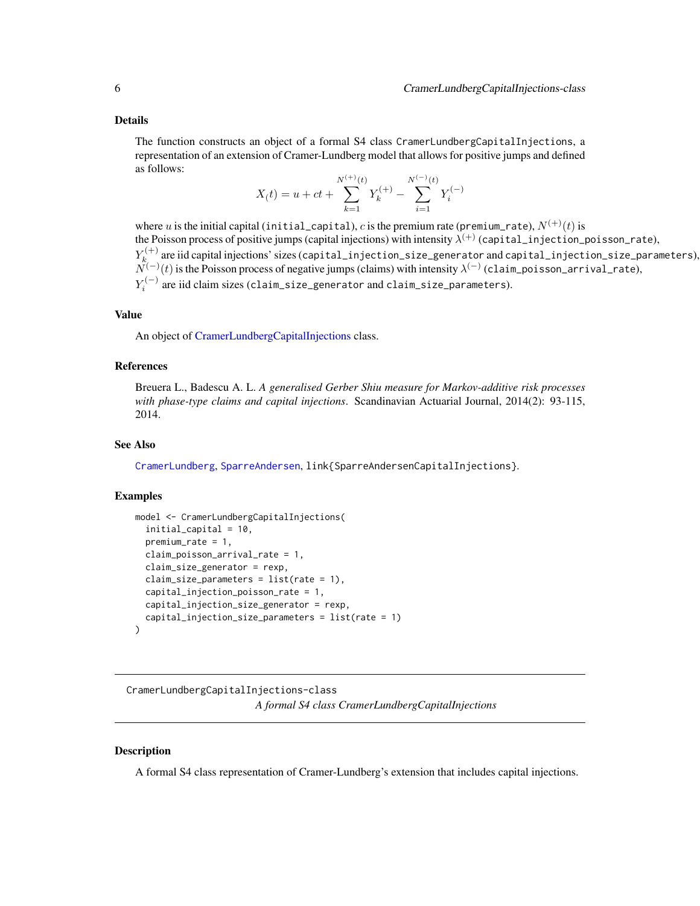<span id="page-5-0"></span>The function constructs an object of a formal S4 class CramerLundbergCapitalInjections, a representation of an extension of Cramer-Lundberg model that allows for positive jumps and defined as follows:

$$
X(t) = u + ct + \sum_{k=1}^{N^{(+)}(t)} Y_k^{(+)} - \sum_{i=1}^{N^{(-)}(t)} Y_i^{(-)}
$$

where u is the initial capital (initial\_capital), c is the premium rate (premium\_rate),  $N^{(+)}(t)$  is the Poisson process of positive jumps (capital injections) with intensity  $\lambda^{(+)}$  (capital\_injection\_poisson\_rate),  $Y_k^{(+)}$  $\kappa_k^{(+)}$  are iid capital injections' sizes (capital\_injection\_size\_generator and capital\_injection\_size\_parameters),  $\tilde{N}^{(-)}(t)$  is the Poisson process of negative jumps (claims) with intensity  $\lambda^{(-)}$  (claim\_poisson\_arrival\_rate),  $Y_i^{(-)}$  are iid claim sizes (claim\_size\_generator and claim\_size\_parameters).

#### Value

An object of [CramerLundbergCapitalInjections](#page-5-1) class.

#### References

Breuera L., Badescu A. L. *A generalised Gerber Shiu measure for Markov-additive risk processes with phase-type claims and capital injections*. Scandinavian Actuarial Journal, 2014(2): 93-115, 2014.

#### See Also

[CramerLundberg](#page-1-1), [SparreAndersen](#page-17-1), link{SparreAndersenCapitalInjections}.

#### Examples

```
model <- CramerLundbergCapitalInjections(
 initial_capital = 10,
 premium_rate = 1,
 claim_poisson_arrival_rate = 1,
 claim_size_generator = rexp,
 claim_size_parameters = list(rate = 1),
 capital_injection_poisson_rate = 1,
 capital_injection_size_generator = rexp,
 capital_injection_size_parameters = list(rate = 1)
)
```
<span id="page-5-1"></span>CramerLundbergCapitalInjections-class *A formal S4 class CramerLundbergCapitalInjections*

#### Description

A formal S4 class representation of Cramer-Lundberg's extension that includes capital injections.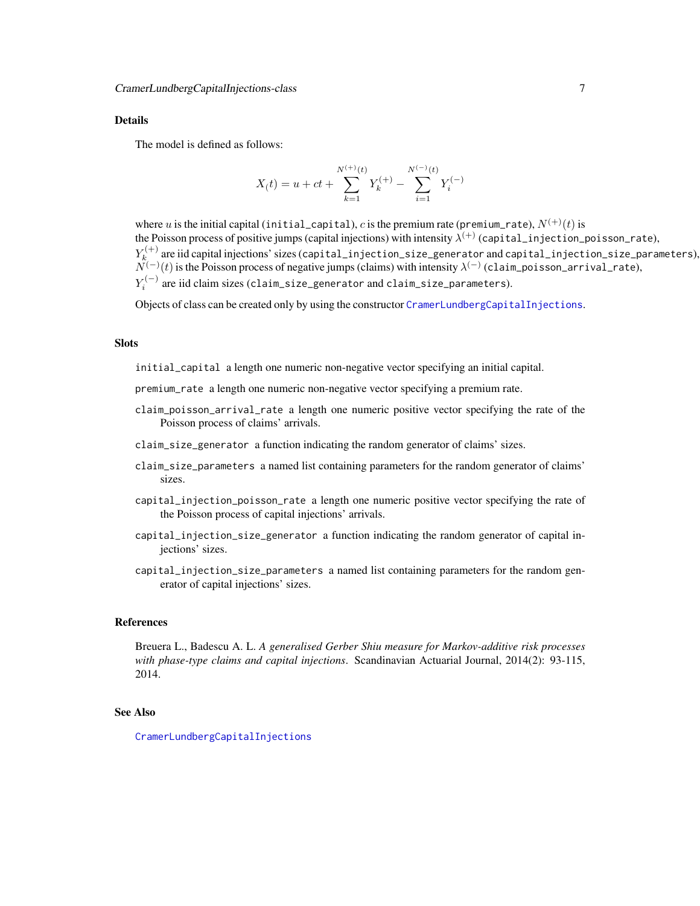The model is defined as follows:

$$
X(t) = u + ct + \sum_{k=1}^{N^{(+)}(t)} Y_k^{(+)} - \sum_{i=1}^{N^{(-)}(t)} Y_i^{(-)}
$$

where u is the initial capital (initial\_capital), c is the premium rate (premium\_rate),  $N^{(+)}(t)$  is the Poisson process of positive jumps (capital injections) with intensity  $\lambda^{(+)}$  (capital\_injection\_poisson\_rate),  $Y_k^{(+)}$  $\kappa_k^{(+)}$  are iid capital injections' sizes (capital\_injection\_size\_generator and capital\_injection\_size\_parameters),  $\tilde{N}^{(-)}(t)$  is the Poisson process of negative jumps (claims) with intensity  $\lambda^{(-)}$  (claim\_poisson\_arrival\_rate),  $Y_i^{(-)}$  are iid claim sizes (claim\_size\_generator and claim\_size\_parameters).

Objects of class can be created only by using the constructor [CramerLundbergCapitalInjections](#page-4-1).

#### **Slots**

initial\_capital a length one numeric non-negative vector specifying an initial capital.

- premium\_rate a length one numeric non-negative vector specifying a premium rate.
- claim\_poisson\_arrival\_rate a length one numeric positive vector specifying the rate of the Poisson process of claims' arrivals.
- claim\_size\_generator a function indicating the random generator of claims' sizes.
- claim\_size\_parameters a named list containing parameters for the random generator of claims' sizes.
- capital\_injection\_poisson\_rate a length one numeric positive vector specifying the rate of the Poisson process of capital injections' arrivals.
- capital\_injection\_size\_generator a function indicating the random generator of capital injections' sizes.
- capital\_injection\_size\_parameters a named list containing parameters for the random generator of capital injections' sizes.

#### References

Breuera L., Badescu A. L. *A generalised Gerber Shiu measure for Markov-additive risk processes with phase-type claims and capital injections*. Scandinavian Actuarial Journal, 2014(2): 93-115, 2014.

#### See Also

[CramerLundbergCapitalInjections](#page-4-1)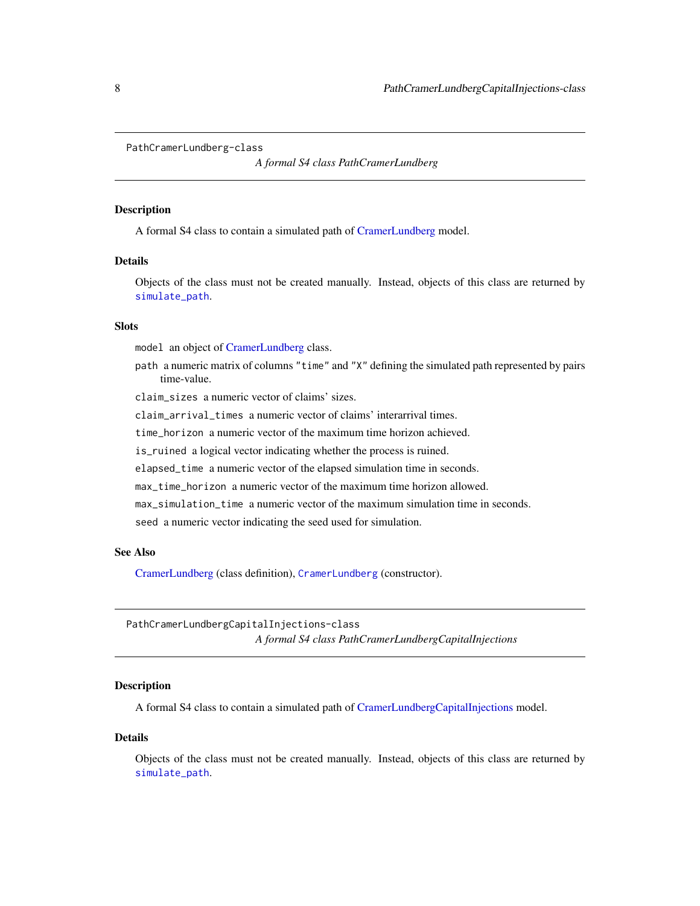```
PathCramerLundberg-class
```
*A formal S4 class PathCramerLundberg*

#### Description

A formal S4 class to contain a simulated path of [CramerLundberg](#page-3-1) model.

#### Details

Objects of the class must not be created manually. Instead, objects of this class are returned by [simulate\\_path](#page-12-1).

#### Slots

model an object of [CramerLundberg](#page-3-1) class.

path a numeric matrix of columns "time" and "X" defining the simulated path represented by pairs time-value.

claim\_sizes a numeric vector of claims' sizes.

claim\_arrival\_times a numeric vector of claims' interarrival times.

time\_horizon a numeric vector of the maximum time horizon achieved.

is\_ruined a logical vector indicating whether the process is ruined.

elapsed\_time a numeric vector of the elapsed simulation time in seconds.

max\_time\_horizon a numeric vector of the maximum time horizon allowed.

max\_simulation\_time a numeric vector of the maximum simulation time in seconds.

seed a numeric vector indicating the seed used for simulation.

#### See Also

[CramerLundberg](#page-3-1) (class definition), [CramerLundberg](#page-1-1) (constructor).

<span id="page-7-2"></span>PathCramerLundbergCapitalInjections-class *A formal S4 class PathCramerLundbergCapitalInjections*

### **Description**

A formal S4 class to contain a simulated path of [CramerLundbergCapitalInjections](#page-5-1) model.

#### Details

Objects of the class must not be created manually. Instead, objects of this class are returned by [simulate\\_path](#page-12-1).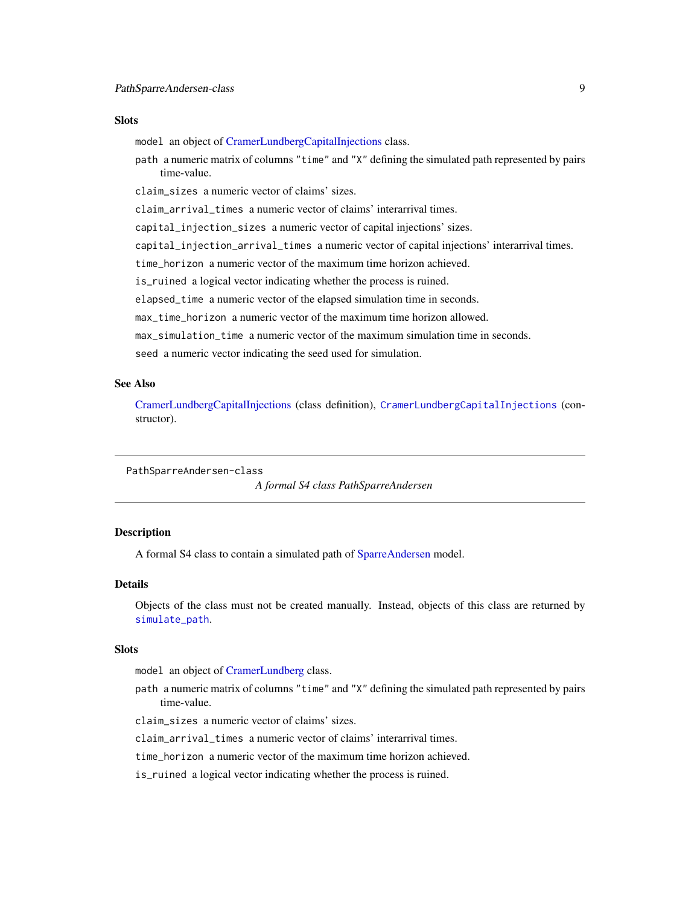#### <span id="page-8-0"></span>**Slots**

model an object of [CramerLundbergCapitalInjections](#page-5-1) class.

path a numeric matrix of columns "time" and "X" defining the simulated path represented by pairs time-value.

claim\_sizes a numeric vector of claims' sizes.

claim\_arrival\_times a numeric vector of claims' interarrival times.

capital\_injection\_sizes a numeric vector of capital injections' sizes.

capital\_injection\_arrival\_times a numeric vector of capital injections' interarrival times.

time\_horizon a numeric vector of the maximum time horizon achieved.

is\_ruined a logical vector indicating whether the process is ruined.

elapsed\_time a numeric vector of the elapsed simulation time in seconds.

max\_time\_horizon a numeric vector of the maximum time horizon allowed.

max\_simulation\_time a numeric vector of the maximum simulation time in seconds.

seed a numeric vector indicating the seed used for simulation.

#### See Also

[CramerLundbergCapitalInjections](#page-5-1) (class definition), [CramerLundbergCapitalInjections](#page-4-1) (constructor).

<span id="page-8-1"></span>PathSparreAndersen-class

*A formal S4 class PathSparreAndersen*

#### Description

A formal S4 class to contain a simulated path of [SparreAndersen](#page-18-1) model.

#### **Details**

Objects of the class must not be created manually. Instead, objects of this class are returned by [simulate\\_path](#page-12-1).

#### **Slots**

model an object of [CramerLundberg](#page-3-1) class.

path a numeric matrix of columns "time" and "X" defining the simulated path represented by pairs time-value.

claim\_sizes a numeric vector of claims' sizes.

claim\_arrival\_times a numeric vector of claims' interarrival times.

time\_horizon a numeric vector of the maximum time horizon achieved.

is\_ruined a logical vector indicating whether the process is ruined.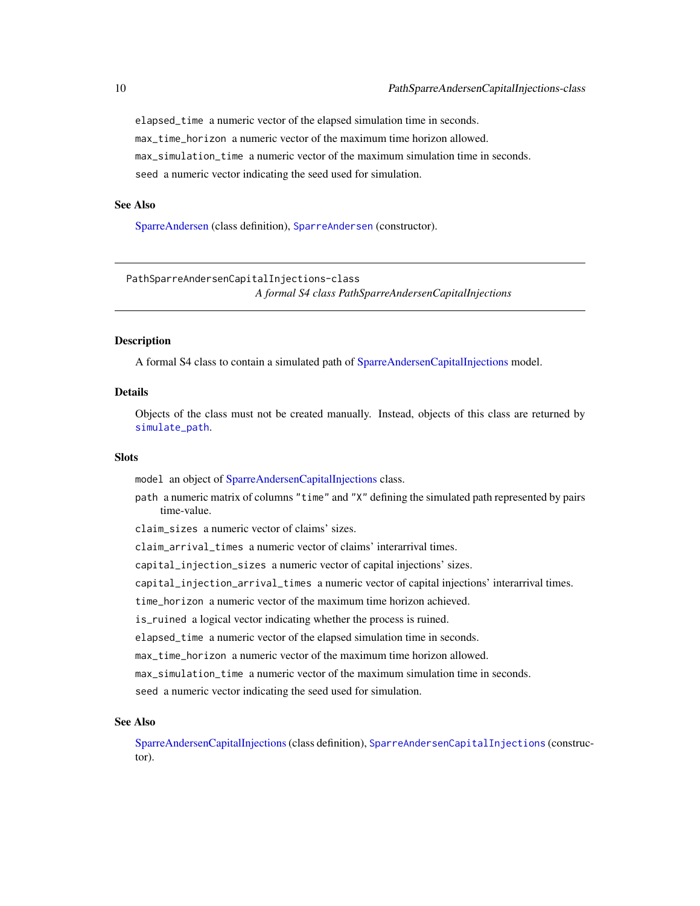<span id="page-9-0"></span>elapsed\_time a numeric vector of the elapsed simulation time in seconds. max\_time\_horizon a numeric vector of the maximum time horizon allowed. max\_simulation\_time a numeric vector of the maximum simulation time in seconds. seed a numeric vector indicating the seed used for simulation.

#### See Also

[SparreAndersen](#page-18-1) (class definition), [SparreAndersen](#page-17-1) (constructor).

<span id="page-9-1"></span>PathSparreAndersenCapitalInjections-class *A formal S4 class PathSparreAndersenCapitalInjections*

#### Description

A formal S4 class to contain a simulated path of [SparreAndersenCapitalInjections](#page-21-1) model.

#### Details

Objects of the class must not be created manually. Instead, objects of this class are returned by [simulate\\_path](#page-12-1).

#### **Slots**

model an object of [SparreAndersenCapitalInjections](#page-21-1) class.

path a numeric matrix of columns "time" and "X" defining the simulated path represented by pairs time-value.

claim\_sizes a numeric vector of claims' sizes.

claim\_arrival\_times a numeric vector of claims' interarrival times.

capital\_injection\_sizes a numeric vector of capital injections' sizes.

capital\_injection\_arrival\_times a numeric vector of capital injections' interarrival times.

time\_horizon a numeric vector of the maximum time horizon achieved.

is\_ruined a logical vector indicating whether the process is ruined.

elapsed\_time a numeric vector of the elapsed simulation time in seconds.

max\_time\_horizon a numeric vector of the maximum time horizon allowed.

max\_simulation\_time a numeric vector of the maximum simulation time in seconds.

seed a numeric vector indicating the seed used for simulation.

#### See Also

[SparreAndersenCapitalInjections](#page-21-1)(class definition), [SparreAndersenCapitalInjections](#page-19-1) (constructor).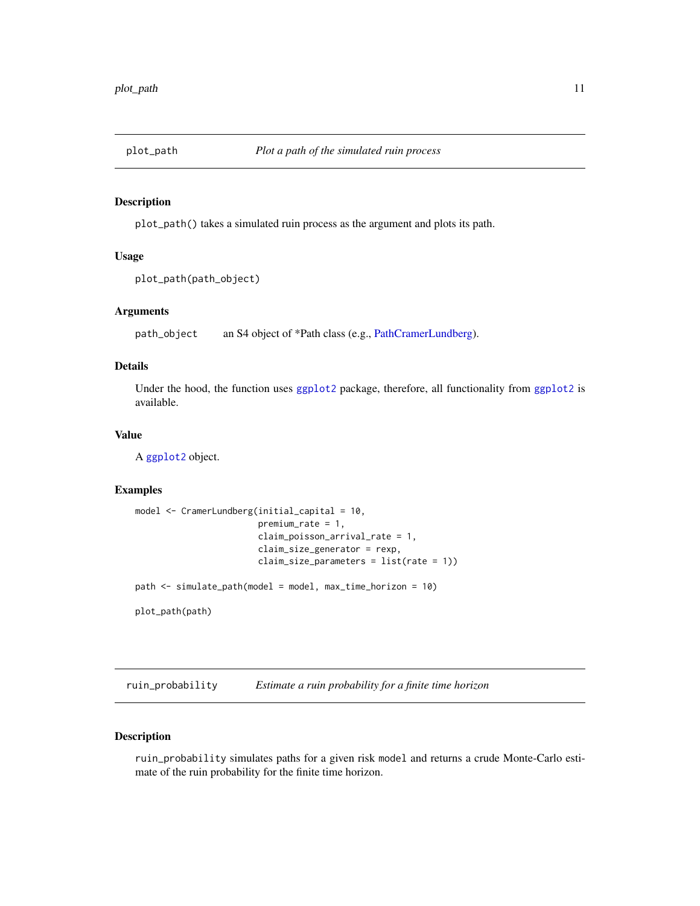<span id="page-10-0"></span>

#### Description

plot\_path() takes a simulated ruin process as the argument and plots its path.

#### Usage

```
plot_path(path_object)
```
#### Arguments

path\_object an S4 object of \*Path class (e.g., [PathCramerLundberg\)](#page-7-1).

#### Details

Under the hood, the function uses [ggplot2](#page-0-0) package, therefore, all functionality from [ggplot2](#page-0-0) is available.

#### Value

A [ggplot2](#page-0-0) object.

#### Examples

```
model <- CramerLundberg(initial_capital = 10,
                        premium_rate = 1,
                        claim_poisson_arrival_rate = 1,
                        claim_size_generator = rexp,
                        claim_size_parameters = list(rate = 1))
path <- simulate_path(model = model, max_time_horizon = 10)
plot_path(path)
```
ruin\_probability *Estimate a ruin probability for a finite time horizon*

#### Description

ruin\_probability simulates paths for a given risk model and returns a crude Monte-Carlo estimate of the ruin probability for the finite time horizon.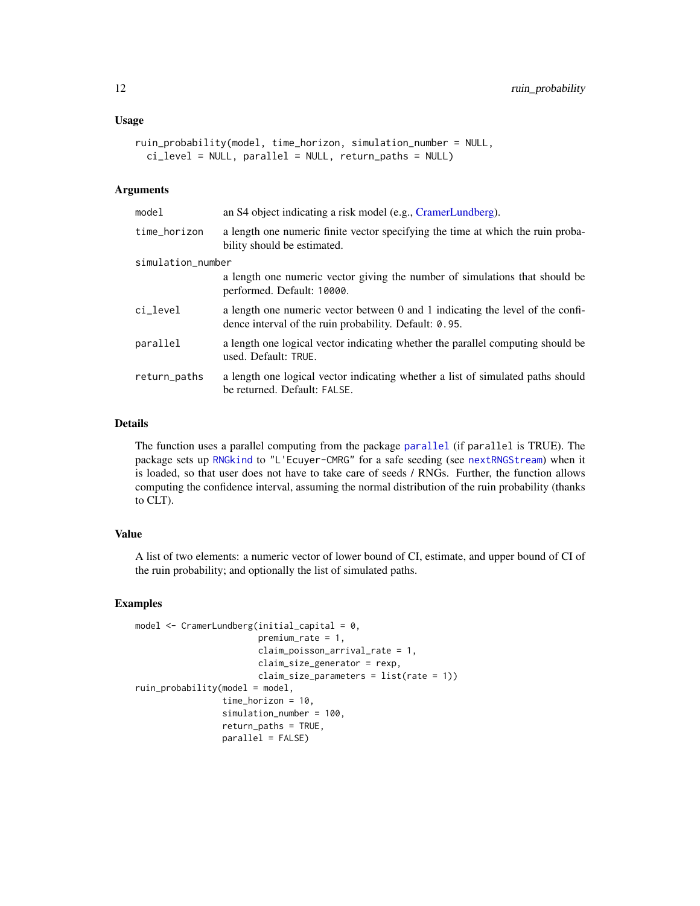```
ruin_probability(model, time_horizon, simulation_number = NULL,
  ci_level = NULL, parallel = NULL, return_paths = NULL)
```
#### Arguments

| an S4 object indicating a risk model (e.g., CramerLundberg).                                                                             |  |
|------------------------------------------------------------------------------------------------------------------------------------------|--|
| a length one numeric finite vector specifying the time at which the ruin proba-<br>bility should be estimated.                           |  |
| simulation_number                                                                                                                        |  |
| a length one numeric vector giving the number of simulations that should be<br>performed. Default: 10000.                                |  |
| a length one numeric vector between 0 and 1 indicating the level of the confi-<br>dence interval of the ruin probability. Default: 0.95. |  |
| a length one logical vector indicating whether the parallel computing should be<br>used. Default: TRUE.                                  |  |
| a length one logical vector indicating whether a list of simulated paths should<br>be returned. Default: FALSE.                          |  |
|                                                                                                                                          |  |

#### Details

The function uses a parallel computing from the package [parallel](#page-0-0) (if parallel is TRUE). The package sets up [RNGkind](#page-0-0) to "L'Ecuyer-CMRG" for a safe seeding (see [nextRNGStream](#page-0-0)) when it is loaded, so that user does not have to take care of seeds / RNGs. Further, the function allows computing the confidence interval, assuming the normal distribution of the ruin probability (thanks to CLT).

#### Value

A list of two elements: a numeric vector of lower bound of CI, estimate, and upper bound of CI of the ruin probability; and optionally the list of simulated paths.

#### Examples

```
model <- CramerLundberg(initial_capital = 0,
                        premium_rate = 1,
                        claim_poisson_arrival_rate = 1,
                        claim_size_generator = rexp,
                        claim_size_parameters = list(rate = 1))
ruin_probability(model = model,
                 time_horizon = 10,
                 simulation_number = 100,
                 return_paths = TRUE,
                 parallel = FALSE)
```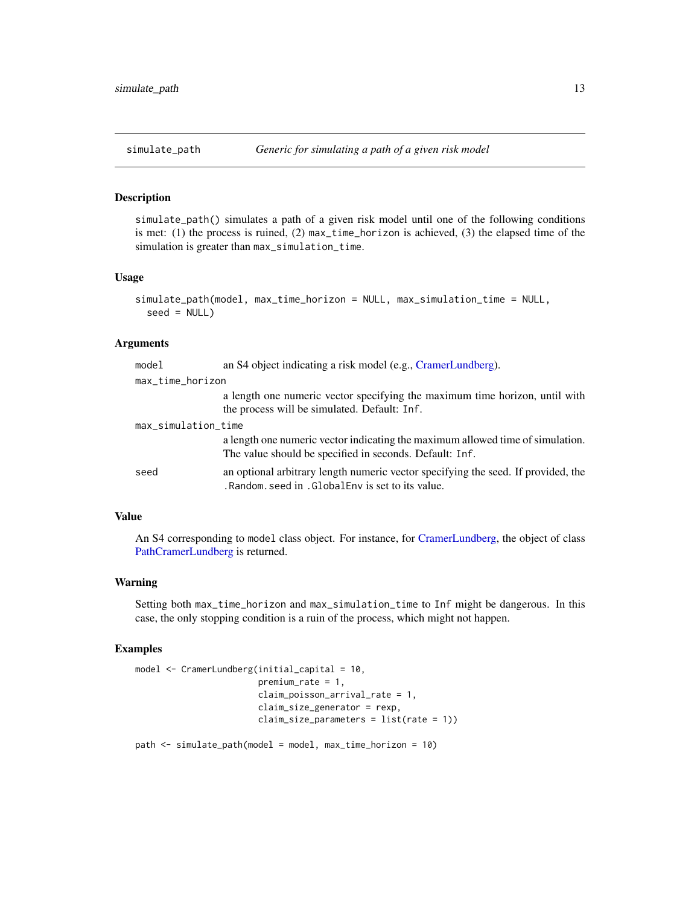#### <span id="page-12-1"></span><span id="page-12-0"></span>Description

simulate\_path() simulates a path of a given risk model until one of the following conditions is met: (1) the process is ruined, (2) max\_time\_horizon is achieved, (3) the elapsed time of the simulation is greater than max\_simulation\_time.

#### Usage

```
simulate_path(model, max_time_horizon = NULL, max_simulation_time = NULL,
 seed = NULL)
```
#### Arguments

| model               | an S4 object indicating a risk model (e.g., CramerLundberg).                                                                              |
|---------------------|-------------------------------------------------------------------------------------------------------------------------------------------|
| max_time_horizon    |                                                                                                                                           |
|                     | a length one numeric vector specifying the maximum time horizon, until with<br>the process will be simulated. Default: Inf.               |
| max_simulation_time |                                                                                                                                           |
|                     | a length one numeric vector indicating the maximum allowed time of simulation.<br>The value should be specified in seconds. Default: Inf. |
| seed                | an optional arbitrary length numeric vector specifying the seed. If provided, the<br>.Random. seed in . GlobalEny is set to its value.    |

#### Value

An S4 corresponding to model class object. For instance, for [CramerLundberg,](#page-3-1) the object of class [PathCramerLundberg](#page-7-1) is returned.

#### Warning

Setting both max\_time\_horizon and max\_simulation\_time to Inf might be dangerous. In this case, the only stopping condition is a ruin of the process, which might not happen.

#### Examples

```
model <- CramerLundberg(initial_capital = 10,
                        premium_rate = 1,
                        claim_poisson_arrival_rate = 1,
                        claim_size_generator = rexp,
                        claim_size_parameters = list(rate = 1))
path <- simulate_path(model = model, max_time_horizon = 10)
```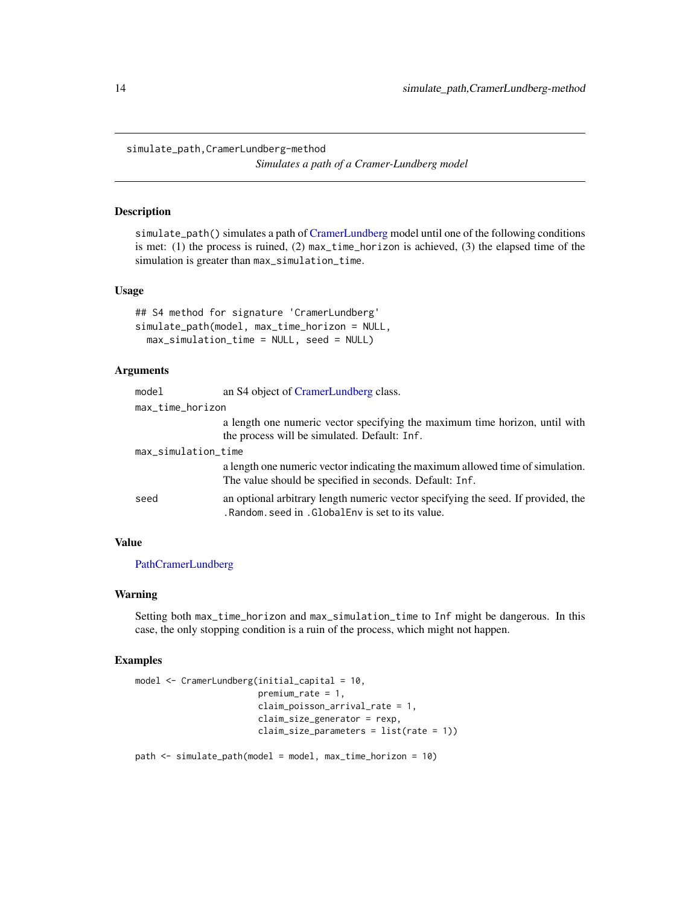<span id="page-13-0"></span>simulate\_path,CramerLundberg-method *Simulates a path of a Cramer-Lundberg model*

#### Description

simulate\_path() simulates a path of [CramerLundberg](#page-3-1) model until one of the following conditions is met: (1) the process is ruined, (2) max\_time\_horizon is achieved, (3) the elapsed time of the simulation is greater than max\_simulation\_time.

#### Usage

```
## S4 method for signature 'CramerLundberg'
simulate_path(model, max_time_horizon = NULL,
 max_simulation_time = NULL, seed = NULL)
```
#### Arguments

| model               | an S4 object of CramerLundberg class.                                                                                                  |
|---------------------|----------------------------------------------------------------------------------------------------------------------------------------|
| max_time_horizon    |                                                                                                                                        |
|                     | a length one numeric vector specifying the maximum time horizon, until with                                                            |
|                     | the process will be simulated. Default: Inf.                                                                                           |
| max_simulation_time |                                                                                                                                        |
|                     | a length one numeric vector indicating the maximum allowed time of simulation.                                                         |
|                     | The value should be specified in seconds. Default: Inf.                                                                                |
| seed                | an optional arbitrary length numeric vector specifying the seed. If provided, the<br>.Random. seed in . GlobalEny is set to its value. |

#### Value

[PathCramerLundberg](#page-7-1)

#### Warning

Setting both max\_time\_horizon and max\_simulation\_time to Inf might be dangerous. In this case, the only stopping condition is a ruin of the process, which might not happen.

#### Examples

```
model <- CramerLundberg(initial_capital = 10,
                        premium_rate = 1,
                        claim_poisson_arrival_rate = 1,
                        claim_size_generator = rexp,
                        claim_size_parameters = list(rate = 1))
```
path <- simulate\_path(model = model, max\_time\_horizon = 10)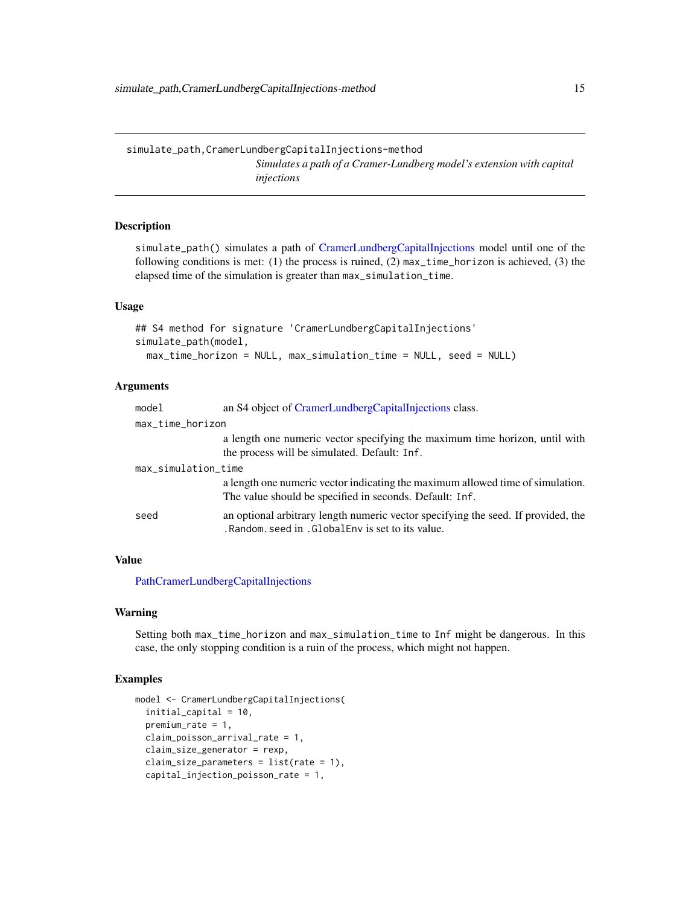<span id="page-14-0"></span>simulate\_path,CramerLundbergCapitalInjections-method *Simulates a path of a Cramer-Lundberg model's extension with capital injections*

#### **Description**

simulate\_path() simulates a path of [CramerLundbergCapitalInjections](#page-5-1) model until one of the following conditions is met: (1) the process is ruined, (2)  $max_time_horizon$  is achieved, (3) the elapsed time of the simulation is greater than max\_simulation\_time.

#### Usage

```
## S4 method for signature 'CramerLundbergCapitalInjections'
simulate_path(model,
 max_time_horizon = NULL, max_simulation_time = NULL, seed = NULL)
```
#### Arguments

| model               | an S4 object of CramerLundbergCapitalInjections class.                                                                                    |
|---------------------|-------------------------------------------------------------------------------------------------------------------------------------------|
| max_time_horizon    |                                                                                                                                           |
|                     | a length one numeric vector specifying the maximum time horizon, until with<br>the process will be simulated. Default: Inf.               |
| max_simulation_time |                                                                                                                                           |
|                     | a length one numeric vector indicating the maximum allowed time of simulation.<br>The value should be specified in seconds. Default: Inf. |
| seed                | an optional arbitrary length numeric vector specifying the seed. If provided, the<br>. Random, seed in . GlobalEny is set to its value.   |

### Value

[PathCramerLundbergCapitalInjections](#page-7-2)

#### Warning

Setting both max\_time\_horizon and max\_simulation\_time to Inf might be dangerous. In this case, the only stopping condition is a ruin of the process, which might not happen.

#### Examples

```
model <- CramerLundbergCapitalInjections(
 initial_capital = 10,
 premium_rate = 1,
 claim_poisson_arrival_rate = 1,
 claim_size_generator = rexp,
 claim_size_parameters = list(rate = 1),
 capital_injection_poisson_rate = 1,
```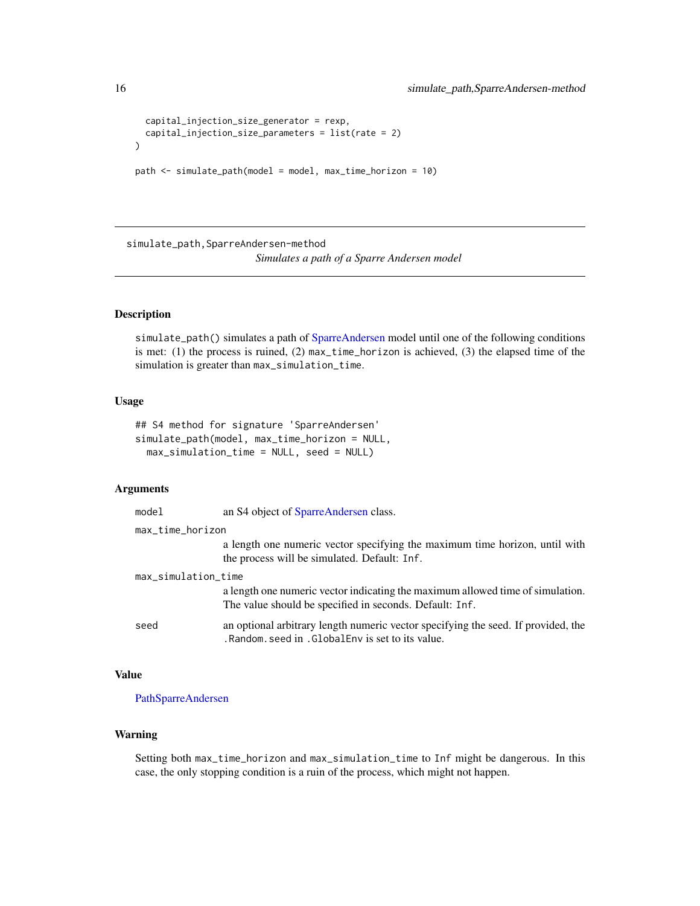```
capital_injection_size_generator = rexp,
 capital_injection_size_parameters = list(rate = 2)
)
```

```
path <- simulate_path(model = model, max_time_horizon = 10)
```
simulate\_path, SparreAndersen-method *Simulates a path of a Sparre Andersen model*

#### Description

simulate\_path() simulates a path of [SparreAndersen](#page-18-1) model until one of the following conditions is met: (1) the process is ruined, (2) max\_time\_horizon is achieved, (3) the elapsed time of the simulation is greater than max\_simulation\_time.

#### Usage

```
## S4 method for signature 'SparreAndersen'
simulate_path(model, max_time_horizon = NULL,
 max_simulation_time = NULL, seed = NULL)
```
#### Arguments

| model               | an S4 object of SparreAndersen class.                                                                                                     |
|---------------------|-------------------------------------------------------------------------------------------------------------------------------------------|
| max_time_horizon    |                                                                                                                                           |
|                     | a length one numeric vector specifying the maximum time horizon, until with<br>the process will be simulated. Default: Inf.               |
| max_simulation_time |                                                                                                                                           |
|                     | a length one numeric vector indicating the maximum allowed time of simulation.<br>The value should be specified in seconds. Default: Inf. |
| seed                | an optional arbitrary length numeric vector specifying the seed. If provided, the<br>.Random. seed in . GlobalEny is set to its value.    |

#### Value

[PathSparreAndersen](#page-8-1)

#### Warning

Setting both max\_time\_horizon and max\_simulation\_time to Inf might be dangerous. In this case, the only stopping condition is a ruin of the process, which might not happen.

<span id="page-15-0"></span>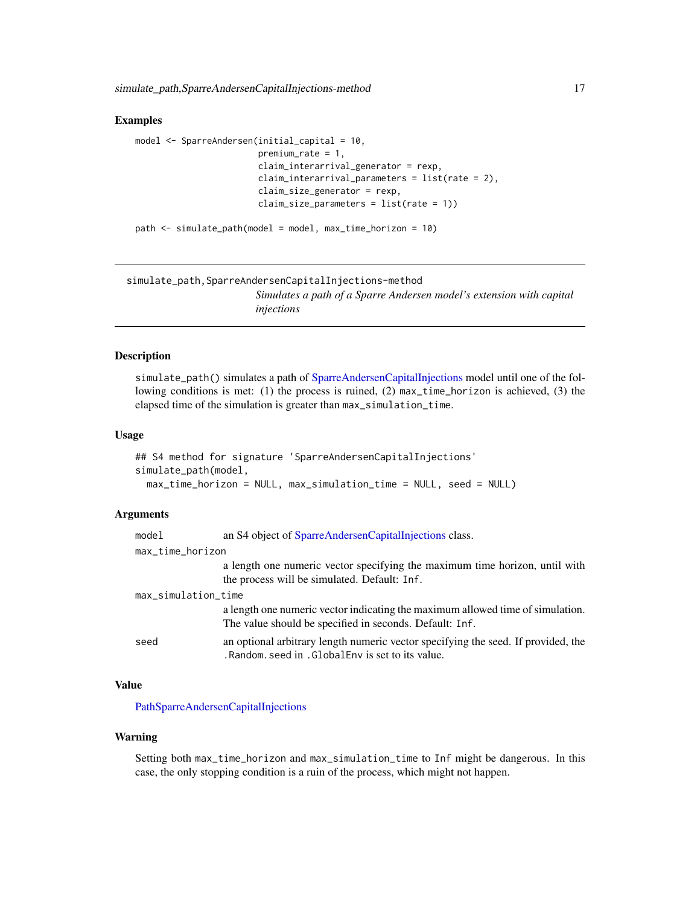<span id="page-16-0"></span>simulate\_path,SparreAndersenCapitalInjections-method 17

#### Examples

```
model <- SparreAndersen(initial_capital = 10,
                        premium_rate = 1,
                        claim_interarrival_generator = rexp,
                        claim_interarrival_parameters = list(rate = 2),
                        claim_size_generator = rexp,
                        claim_size_parameters = list(rate = 1))
```

```
path <- simulate_path(model = model, max_time_horizon = 10)
```
simulate\_path,SparreAndersenCapitalInjections-method *Simulates a path of a Sparre Andersen model's extension with capital injections*

#### Description

simulate\_path() simulates a path of [SparreAndersenCapitalInjections](#page-21-1) model until one of the following conditions is met: (1) the process is ruined, (2) max\_time\_horizon is achieved, (3) the elapsed time of the simulation is greater than max\_simulation\_time.

#### Usage

```
## S4 method for signature 'SparreAndersenCapitalInjections'
simulate_path(model,
 max_time_horizon = NULL, max_simulation_time = NULL, seed = NULL)
```
#### Arguments

| model               | an S4 object of SparreAndersenCapitalInjections class.                                                                                    |
|---------------------|-------------------------------------------------------------------------------------------------------------------------------------------|
| max_time_horizon    |                                                                                                                                           |
|                     | a length one numeric vector specifying the maximum time horizon, until with<br>the process will be simulated. Default: Inf.               |
| max_simulation_time |                                                                                                                                           |
|                     | a length one numeric vector indicating the maximum allowed time of simulation.<br>The value should be specified in seconds. Default: Inf. |
| seed                | an optional arbitrary length numeric vector specifying the seed. If provided, the<br>.Random. seed in . GlobalEny is set to its value.    |

### Value

[PathSparreAndersenCapitalInjections](#page-9-1)

#### Warning

Setting both max\_time\_horizon and max\_simulation\_time to Inf might be dangerous. In this case, the only stopping condition is a ruin of the process, which might not happen.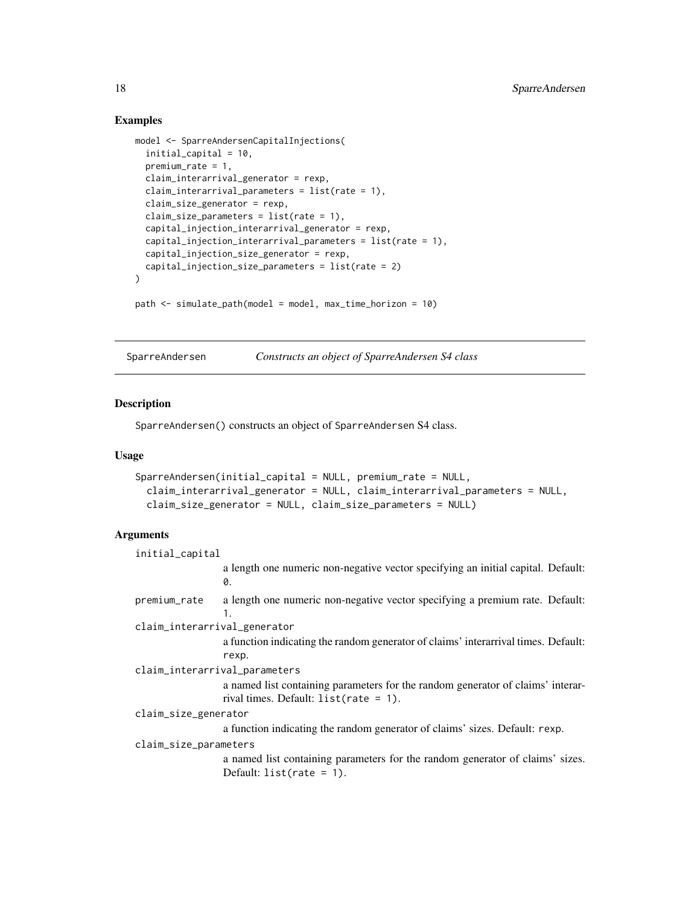#### Examples

```
model <- SparreAndersenCapitalInjections(
  initial_capital = 10,
  premium_rate = 1,
  claim_interarrival_generator = rexp,
  claim_interarrival_parameters = list(rate = 1),
  claim_size_generator = rexp,
  claim_size_parameters = list(rate = 1),
  capital_injection_interarrival_generator = rexp,
  capital_injection_interarrival_parameters = list(rate = 1),
  capital_injection_size_generator = rexp,
  capital_injection_size_parameters = list(rate = 2)
\mathcal{L}path <- simulate_path(model = model, max_time_horizon = 10)
```
<span id="page-17-1"></span>SparreAndersen *Constructs an object of SparreAndersen S4 class*

#### Description

SparreAndersen() constructs an object of SparreAndersen S4 class.

#### Usage

```
SparreAndersen(initial_capital = NULL, premium_rate = NULL,
  claim_interarrival_generator = NULL, claim_interarrival_parameters = NULL,
  claim_size_generator = NULL, claim_size_parameters = NULL)
```
#### **Arguments**

| initial_capital               |                                                                                        |
|-------------------------------|----------------------------------------------------------------------------------------|
|                               | a length one numeric non-negative vector specifying an initial capital. Default:<br>0. |
| premium_rate                  | a length one numeric non-negative vector specifying a premium rate. Default:           |
|                               | $\mathbf{1}$ .                                                                         |
| claim_interarrival_generator  |                                                                                        |
|                               | a function indicating the random generator of claims' interarrival times. Default:     |
|                               | rexp.                                                                                  |
| claim_interarrival_parameters |                                                                                        |
|                               | a named list containing parameters for the random generator of claims' interar-        |
|                               | rival times. Default: $list(\text{rate} = 1)$ .                                        |
| claim_size_generator          |                                                                                        |
|                               | a function indicating the random generator of claims' sizes. Default: rexp.            |
| claim_size_parameters         |                                                                                        |
|                               | a named list containing parameters for the random generator of claims' sizes.          |
|                               | Default: $list(rate = 1).$                                                             |
|                               |                                                                                        |

<span id="page-17-0"></span>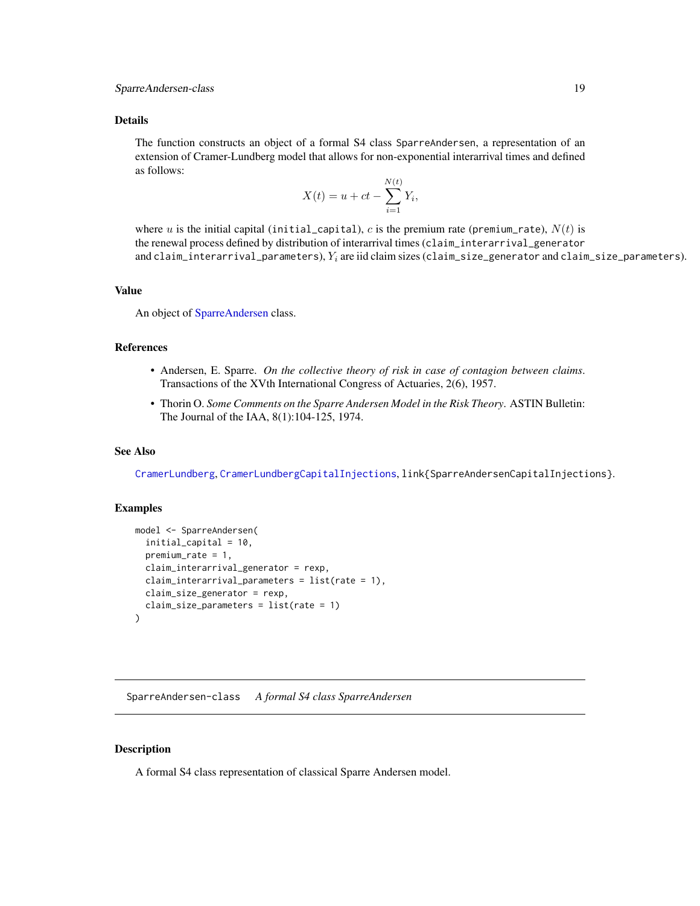<span id="page-18-0"></span>The function constructs an object of a formal S4 class SparreAndersen, a representation of an extension of Cramer-Lundberg model that allows for non-exponential interarrival times and defined as follows:

$$
X(t) = u + ct - \sum_{i=1}^{N(t)} Y_i,
$$

where u is the initial capital (initial capital), c is the premium rate (premium rate),  $N(t)$  is the renewal process defined by distribution of interarrival times (claim\_interarrival\_generator and claim\_interarrival\_parameters),  $Y_i$  are iid claim sizes (claim\_size\_generator and claim\_size\_parameters).

#### Value

An object of [SparreAndersen](#page-18-1) class.

#### References

- Andersen, E. Sparre. *On the collective theory of risk in case of contagion between claims*. Transactions of the XVth International Congress of Actuaries, 2(6), 1957.
- Thorin O. *Some Comments on the Sparre Andersen Model in the Risk Theory*. ASTIN Bulletin: The Journal of the IAA, 8(1):104-125, 1974.

#### See Also

[CramerLundberg](#page-1-1), [CramerLundbergCapitalInjections](#page-4-1), link{SparreAndersenCapitalInjections}.

#### Examples

```
model <- SparreAndersen(
  initial_capital = 10,
  premium_rate = 1,
  claim_interarrival_generator = rexp,
  claim_interarrival_parameters = list(rate = 1),
  claim_size_generator = rexp,
  claim_size_parameters = list(rate = 1)
)
```
<span id="page-18-1"></span>SparreAndersen-class *A formal S4 class SparreAndersen*

#### **Description**

A formal S4 class representation of classical Sparre Andersen model.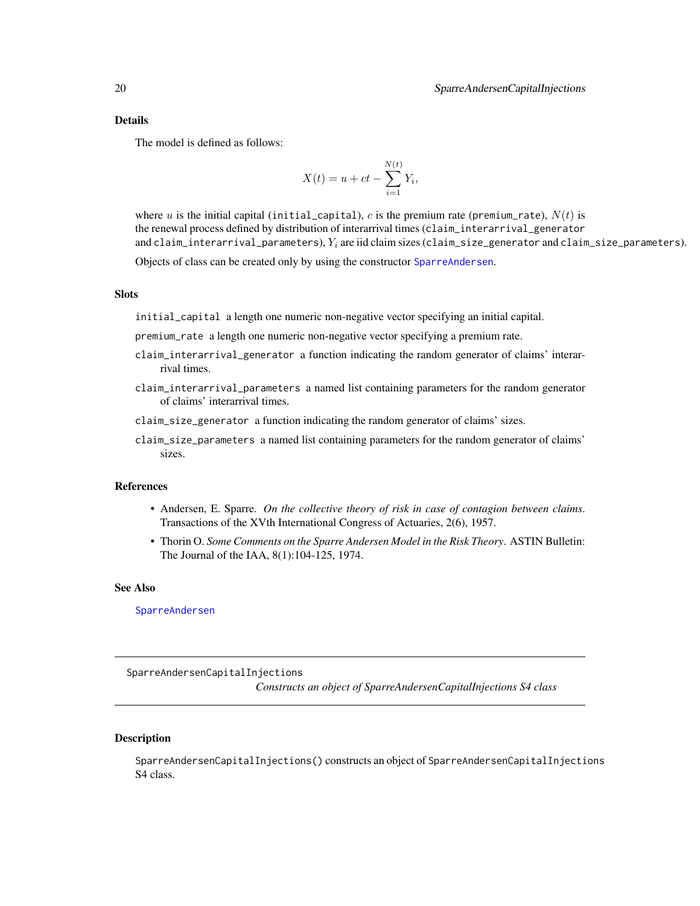<span id="page-19-0"></span>The model is defined as follows:

$$
X(t) = u + ct - \sum_{i=1}^{N(t)} Y_i,
$$

where u is the initial capital (initial\_capital), c is the premium rate (premium\_rate),  $N(t)$  is the renewal process defined by distribution of interarrival times (claim\_interarrival\_generator and claim\_interarrival\_parameters),  $Y_i$  are iid claim sizes (claim\_size\_generator and claim\_size\_parameters).

Objects of class can be created only by using the constructor [SparreAndersen](#page-17-1).

#### **Slots**

initial\_capital a length one numeric non-negative vector specifying an initial capital.

premium\_rate a length one numeric non-negative vector specifying a premium rate.

- claim\_interarrival\_generator a function indicating the random generator of claims' interarrival times.
- claim\_interarrival\_parameters a named list containing parameters for the random generator of claims' interarrival times.
- claim\_size\_generator a function indicating the random generator of claims' sizes.
- claim\_size\_parameters a named list containing parameters for the random generator of claims' sizes.

#### References

- Andersen, E. Sparre. *On the collective theory of risk in case of contagion between claims*. Transactions of the XVth International Congress of Actuaries, 2(6), 1957.
- Thorin O. *Some Comments on the Sparre Andersen Model in the Risk Theory*. ASTIN Bulletin: The Journal of the IAA, 8(1):104-125, 1974.

#### See Also

[SparreAndersen](#page-17-1)

<span id="page-19-1"></span>SparreAndersenCapitalInjections

*Constructs an object of SparreAndersenCapitalInjections S4 class*

#### Description

SparreAndersenCapitalInjections() constructs an object of SparreAndersenCapitalInjections S4 class.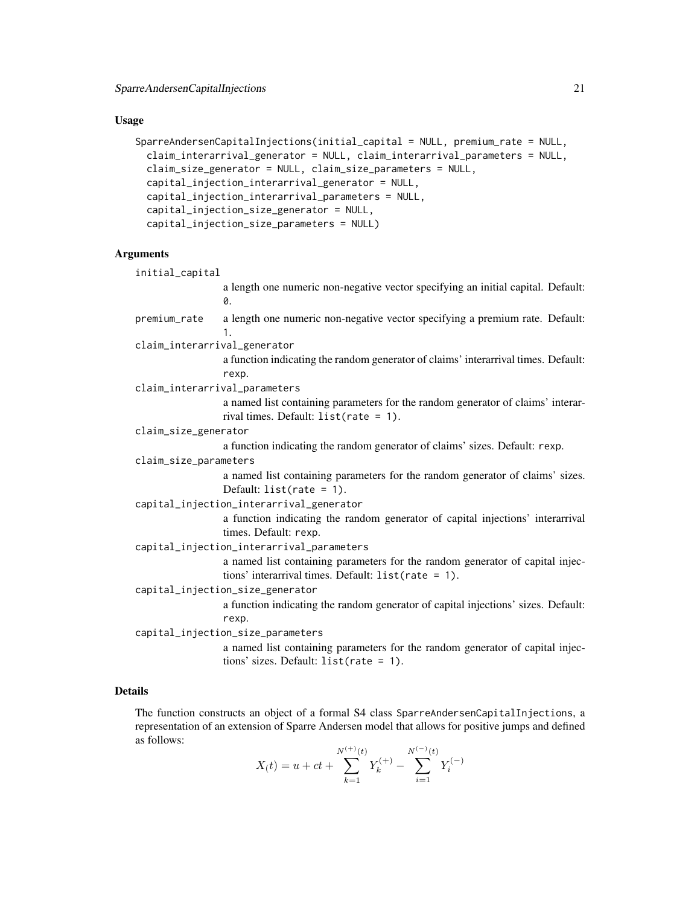#### Usage

```
SparreAndersenCapitalInjections(initial_capital = NULL, premium_rate = NULL,
 claim_interarrival_generator = NULL, claim_interarrival_parameters = NULL,
 claim_size_generator = NULL, claim_size_parameters = NULL,
 capital_injection_interarrival_generator = NULL,
  capital_injection_interarrival_parameters = NULL,
  capital_injection_size_generator = NULL,
  capital_injection_size_parameters = NULL)
```
### Arguments

| initial_capital                   |                                                                                                                                                |
|-----------------------------------|------------------------------------------------------------------------------------------------------------------------------------------------|
|                                   | a length one numeric non-negative vector specifying an initial capital. Default:<br>0.                                                         |
| premium_rate                      | a length one numeric non-negative vector specifying a premium rate. Default:<br>1.                                                             |
| claim_interarrival_generator      |                                                                                                                                                |
|                                   | a function indicating the random generator of claims' interarrival times. Default:<br>rexp.                                                    |
|                                   | claim_interarrival_parameters                                                                                                                  |
|                                   | a named list containing parameters for the random generator of claims' interar-<br>rival times. Default: $list(rate = 1).$                     |
| claim_size_generator              |                                                                                                                                                |
|                                   | a function indicating the random generator of claims' sizes. Default: rexp.                                                                    |
| claim_size_parameters             |                                                                                                                                                |
|                                   | a named list containing parameters for the random generator of claims' sizes.<br>Default: $list(rate = 1).$                                    |
|                                   | capital_injection_interarrival_generator                                                                                                       |
|                                   | a function indicating the random generator of capital injections' interarrival<br>times. Default: rexp.                                        |
|                                   | capital_injection_interarrival_parameters                                                                                                      |
|                                   | a named list containing parameters for the random generator of capital injec-<br>tions' interarrival times. Default: $list(\text{rate} = 1)$ . |
|                                   | capital_injection_size_generator                                                                                                               |
|                                   | a function indicating the random generator of capital injections' sizes. Default:<br>rexp.                                                     |
| capital_injection_size_parameters |                                                                                                                                                |
|                                   | a named list containing parameters for the random generator of capital injec-                                                                  |
|                                   | tions' sizes. Default: $list(rate = 1).$                                                                                                       |

#### Details

The function constructs an object of a formal S4 class SparreAndersenCapitalInjections, a representation of an extension of Sparre Andersen model that allows for positive jumps and defined as follows:

$$
X(t) = u + ct + \sum_{k=1}^{N^{(+)}(t)} Y_k^{(+)} - \sum_{i=1}^{N^{(-)}(t)} Y_i^{(-)}
$$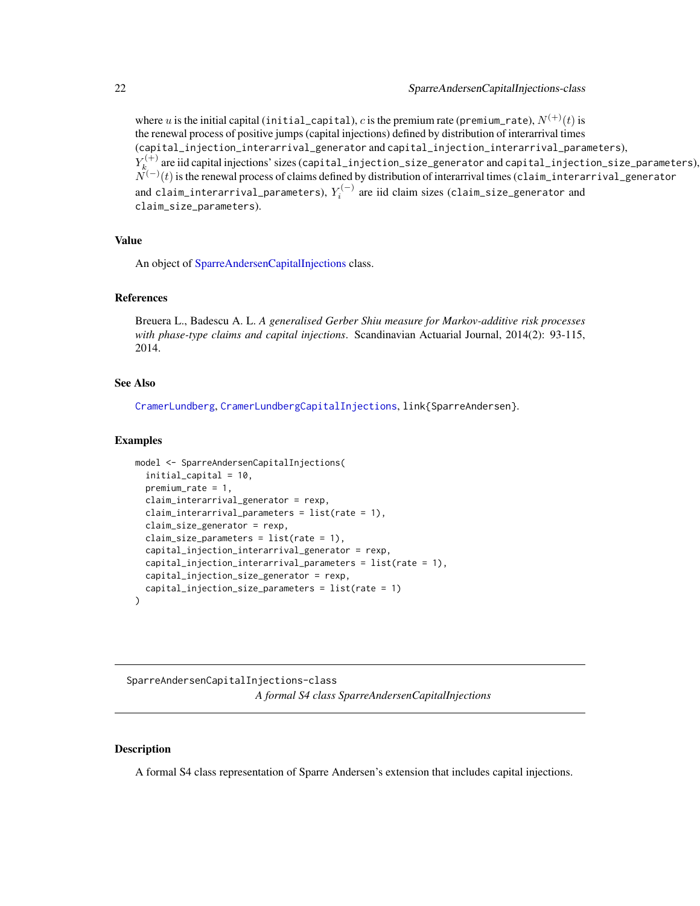<span id="page-21-0"></span>where u is the initial capital (initial\_capital), c is the premium rate (premium\_rate),  $N^{(+)}(t)$  is the renewal process of positive jumps (capital injections) defined by distribution of interarrival times (capital\_injection\_interarrival\_generator and capital\_injection\_interarrival\_parameters),  $Y_k^{(+)}$  $\kappa_k^{(+)}$  are iid capital injections' sizes (capital\_injection\_size\_generator and capital\_injection\_size\_parameters),  $\tilde{N}^{(-)}(t)$  is the renewal process of claims defined by distribution of interarrival times (claim\_interarrival\_generator and claim\_interarrival\_parameters),  $Y_i^{(-)}$  are iid claim sizes (claim\_size\_generator and claim\_size\_parameters).

#### Value

An object of [SparreAndersenCapitalInjections](#page-21-1) class.

#### References

Breuera L., Badescu A. L. *A generalised Gerber Shiu measure for Markov-additive risk processes with phase-type claims and capital injections*. Scandinavian Actuarial Journal, 2014(2): 93-115, 2014.

#### See Also

[CramerLundberg](#page-1-1), [CramerLundbergCapitalInjections](#page-4-1), link{SparreAndersen}.

#### Examples

```
model <- SparreAndersenCapitalInjections(
  initial_capital = 10,
  premium_rate = 1,
  claim_interarrival_generator = rexp,
  claim_interarrival_parameters = list(rate = 1),
  claim_size_generator = rexp,
  claim_size_parameters = list(rate = 1),
  capital_injection_interarrival_generator = rexp,
  capital_injection_interarrival_parameters = list(rate = 1),
  capital_injection_size_generator = rexp,
  capital_injection_size_parameters = list(rate = 1)
)
```
<span id="page-21-1"></span>SparreAndersenCapitalInjections-class *A formal S4 class SparreAndersenCapitalInjections*

#### Description

A formal S4 class representation of Sparre Andersen's extension that includes capital injections.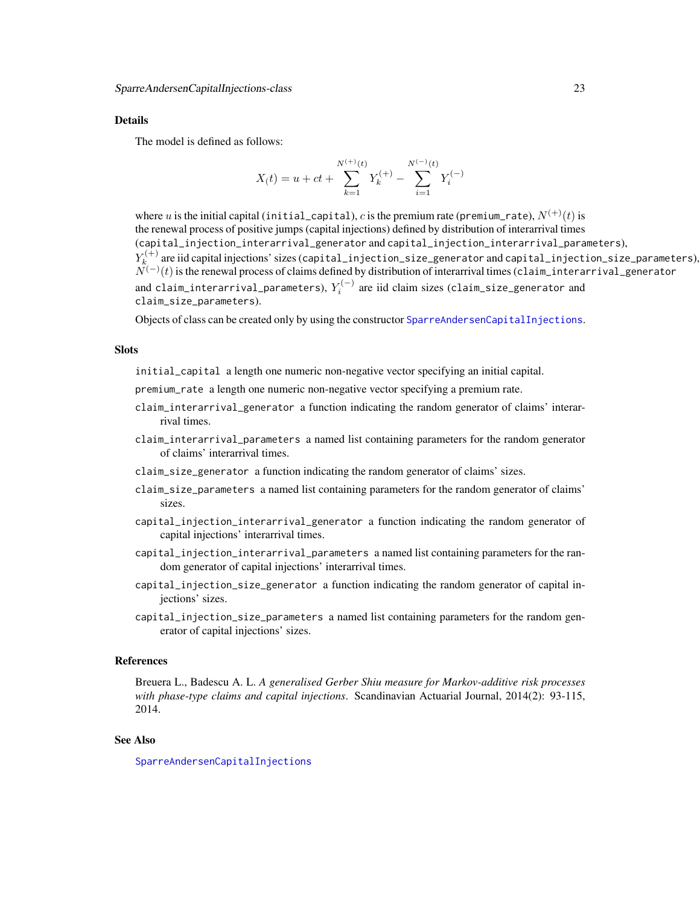<span id="page-22-0"></span>The model is defined as follows:

$$
X(t) = u + ct + \sum_{k=1}^{N^{(+)}(t)} Y_k^{(+)} - \sum_{i=1}^{N^{(-)}(t)} Y_i^{(-)}
$$

where u is the initial capital (initial\_capital), c is the premium rate (premium\_rate),  $N^{(+)}(t)$  is the renewal process of positive jumps (capital injections) defined by distribution of interarrival times (capital\_injection\_interarrival\_generator and capital\_injection\_interarrival\_parameters),  $Y_k^{(+)}$  $\kappa_k^{(+)}$  are iid capital injections' sizes (capital\_injection\_size\_generator and capital\_injection\_size\_parameters),  $\tilde{N}^{(-)}(t)$  is the renewal process of claims defined by distribution of interarrival times (claim\_interarrival\_generator and claim\_interarrival\_parameters),  $Y_i^{(-)}$  are iid claim sizes (claim\_size\_generator and claim\_size\_parameters).

Objects of class can be created only by using the constructor [SparreAndersenCapitalInjections](#page-19-1).

#### **Slots**

initial\_capital a length one numeric non-negative vector specifying an initial capital.

- premium\_rate a length one numeric non-negative vector specifying a premium rate.
- claim\_interarrival\_generator a function indicating the random generator of claims' interarrival times.
- claim\_interarrival\_parameters a named list containing parameters for the random generator of claims' interarrival times.
- claim\_size\_generator a function indicating the random generator of claims' sizes.
- claim\_size\_parameters a named list containing parameters for the random generator of claims' sizes.
- capital\_injection\_interarrival\_generator a function indicating the random generator of capital injections' interarrival times.
- capital\_injection\_interarrival\_parameters a named list containing parameters for the random generator of capital injections' interarrival times.
- capital\_injection\_size\_generator a function indicating the random generator of capital injections' sizes.
- capital\_injection\_size\_parameters a named list containing parameters for the random generator of capital injections' sizes.

#### References

Breuera L., Badescu A. L. *A generalised Gerber Shiu measure for Markov-additive risk processes with phase-type claims and capital injections*. Scandinavian Actuarial Journal, 2014(2): 93-115, 2014.

#### See Also

[SparreAndersenCapitalInjections](#page-19-1)